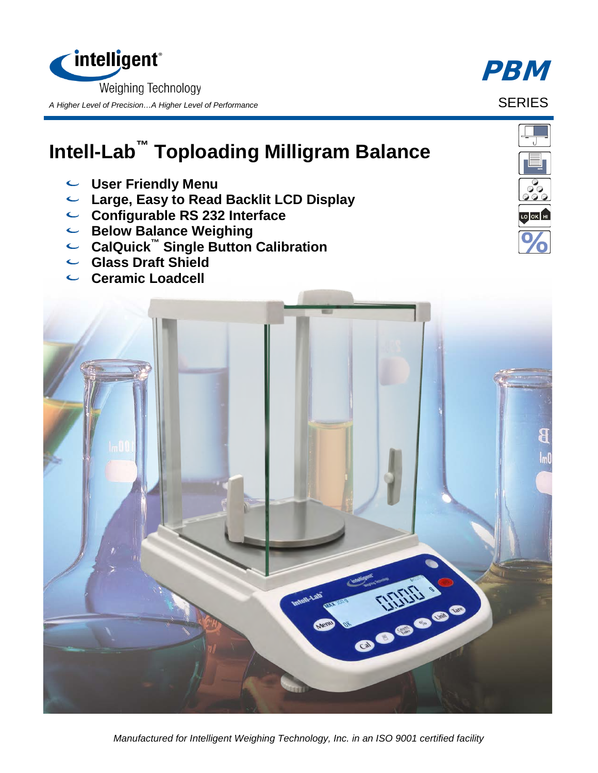

## **Intell-Lab™ Toploading Milligram Balance**

- **User Friendly Menu**
- **Large, Easy to Read Backlit LCD Display**
- **Configurable RS 232 Interface**
- **Below Balance Weighing**
- **CalQuick™ Single Button Calibration**
- **Glass Draft Shield**
- **Ceramic Loadcell**



*Manufactured for Intelligent Weighing Technology, Inc. in an ISO 9001 certified facility*